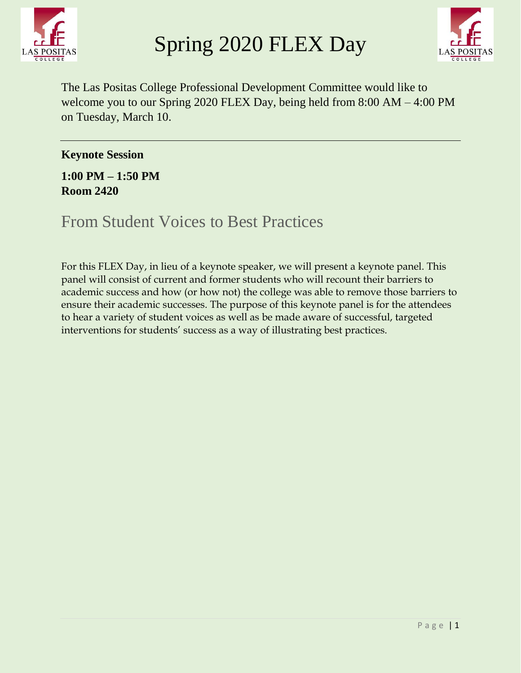



The Las Positas College Professional Development Committee would like to welcome you to our Spring 2020 FLEX Day, being held from 8:00 AM – 4:00 PM on Tuesday, March 10.

**Keynote Session**

**1:00 PM – 1:50 PM Room 2420**

From Student Voices to Best Practices

For this FLEX Day, in lieu of a keynote speaker, we will present a keynote panel. This panel will consist of current and former students who will recount their barriers to academic success and how (or how not) the college was able to remove those barriers to ensure their academic successes. The purpose of this keynote panel is for the attendees to hear a variety of student voices as well as be made aware of successful, targeted interventions for students' success as a way of illustrating best practices.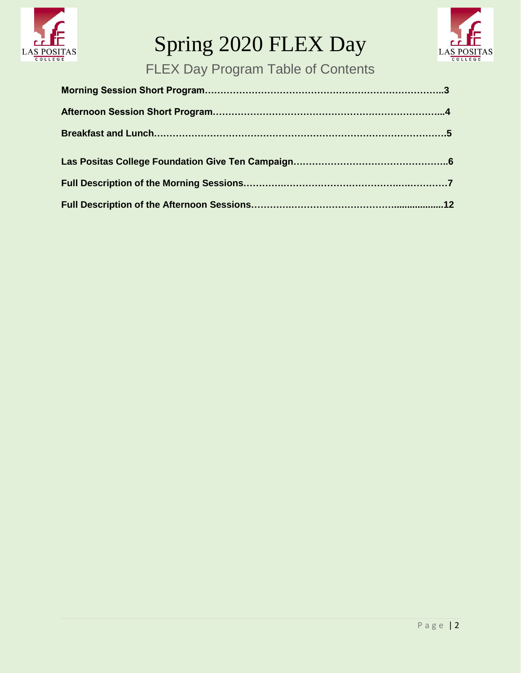



FLEX Day Program Table of Contents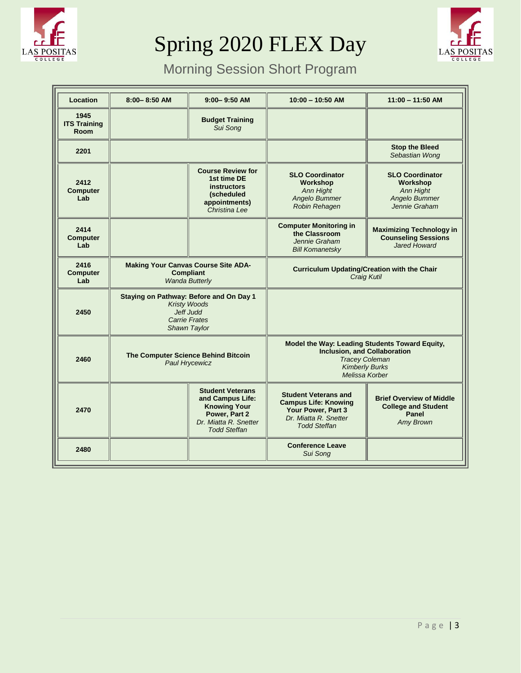



# Morning Session Short Program

| Location                            | $8:00 - 8:50$ AM                                                                                                    | $9:00 - 9:50$ AM                                                                                                                    | $10:00 - 10:50$ AM                                                                                                                                        | $11:00 - 11:50$ AM                                                                                |
|-------------------------------------|---------------------------------------------------------------------------------------------------------------------|-------------------------------------------------------------------------------------------------------------------------------------|-----------------------------------------------------------------------------------------------------------------------------------------------------------|---------------------------------------------------------------------------------------------------|
| 1945<br><b>ITS Training</b><br>Room |                                                                                                                     | <b>Budget Training</b><br>Sui Song                                                                                                  |                                                                                                                                                           |                                                                                                   |
| 2201                                |                                                                                                                     |                                                                                                                                     |                                                                                                                                                           | <b>Stop the Bleed</b><br>Sebastian Wong                                                           |
| 2412<br><b>Computer</b><br>Lab      |                                                                                                                     | <b>Course Review for</b><br>1st time DE<br><b>instructors</b><br><i>(scheduled</i><br>appointments)<br>Christina Lee                | <b>SLO Coordinator</b><br>Workshop<br>Ann Hight<br>Angelo Bummer<br>Robin Rehagen                                                                         | <b>SLO Coordinator</b><br>Workshop<br><b>Ann Hight</b><br>Angelo Bummer<br>Jennie Graham          |
| 2414<br><b>Computer</b><br>Lab      |                                                                                                                     |                                                                                                                                     | <b>Computer Monitoring in</b><br>the Classroom<br>Jennie Graham<br><b>Bill Komanetsky</b>                                                                 | <b>Maximizing Technology in</b><br><b>Counseling Sessions</b><br>Jared Howard                     |
| 2416<br><b>Computer</b><br>Lab      | <b>Making Your Canvas Course Site ADA-</b><br><b>Compliant</b><br><b>Wanda Butterly</b>                             |                                                                                                                                     | <b>Curriculum Updating/Creation with the Chair</b><br><b>Craig Kutil</b>                                                                                  |                                                                                                   |
| 2450                                | Staying on Pathway: Before and On Day 1<br><b>Kristy Woods</b><br>Jeff Judd<br><b>Carrie Frates</b><br>Shawn Taylor |                                                                                                                                     |                                                                                                                                                           |                                                                                                   |
| 2460                                | The Computer Science Behind Bitcoin<br><b>Paul Hrycewicz</b>                                                        |                                                                                                                                     | Model the Way: Leading Students Toward Equity,<br><b>Inclusion, and Collaboration</b><br><b>Tracey Coleman</b><br><b>Kimberly Burks</b><br>Melissa Korber |                                                                                                   |
| 2470                                |                                                                                                                     | <b>Student Veterans</b><br>and Campus Life:<br><b>Knowing Your</b><br>Power, Part 2<br>Dr. Miatta R. Snetter<br><b>Todd Steffan</b> | <b>Student Veterans and</b><br><b>Campus Life: Knowing</b><br>Your Power, Part 3<br>Dr. Miatta R. Snetter<br><b>Todd Steffan</b>                          | <b>Brief Overview of Middle</b><br><b>College and Student</b><br><b>Panel</b><br><b>Amy Brown</b> |
| 2480                                |                                                                                                                     |                                                                                                                                     | <b>Conference Leave</b><br>Sui Song                                                                                                                       |                                                                                                   |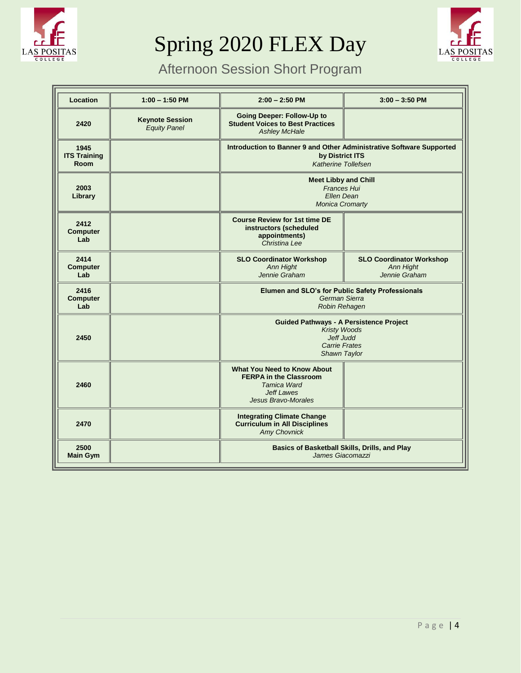



# Afternoon Session Short Program

| <b>Location</b>                            | $1:00 - 1:50$ PM                              | $2:00 - 2:50$ PM                                                                                                                      | $3:00 - 3:50$ PM                                                     |  |  |
|--------------------------------------------|-----------------------------------------------|---------------------------------------------------------------------------------------------------------------------------------------|----------------------------------------------------------------------|--|--|
| 2420                                       | <b>Keynote Session</b><br><b>Equity Panel</b> | <b>Going Deeper: Follow-Up to</b><br><b>Student Voices to Best Practices</b><br><b>Ashley McHale</b>                                  |                                                                      |  |  |
| 1945<br><b>ITS Training</b><br><b>Room</b> |                                               | Introduction to Banner 9 and Other Administrative Software Supported<br>by District ITS<br><b>Katherine Tollefsen</b>                 |                                                                      |  |  |
| 2003<br>Library                            |                                               | <b>Meet Libby and Chill</b><br><b>Frances Hui</b><br>Ellen Dean<br><b>Monica Cromarty</b>                                             |                                                                      |  |  |
| 2412<br><b>Computer</b><br>Lab             |                                               | <b>Course Review for 1st time DE</b><br>instructors (scheduled<br>appointments)<br>Christina Lee                                      |                                                                      |  |  |
| 2414<br><b>Computer</b><br>Lab             |                                               | <b>SLO Coordinator Workshop</b><br>Ann Hight<br>Jennie Graham                                                                         | <b>SLO Coordinator Workshop</b><br><b>Ann Hight</b><br>Jennie Graham |  |  |
| 2416<br><b>Computer</b><br>Lab             |                                               | Elumen and SLO's for Public Safety Professionals<br>German Sierra<br>Robin Rehagen                                                    |                                                                      |  |  |
| 2450                                       |                                               | <b>Guided Pathways - A Persistence Project</b><br><b>Kristy Woods</b><br><b>Jeff Judd</b><br>Carrie Frates<br>Shawn Taylor            |                                                                      |  |  |
| 2460                                       |                                               | <b>What You Need to Know About</b><br><b>FERPA in the Classroom</b><br>Tamica Ward<br><b>Jeff Lawes</b><br><b>Jesus Bravo-Morales</b> |                                                                      |  |  |
| 2470                                       |                                               | <b>Integrating Climate Change</b><br><b>Curriculum in All Disciplines</b><br><b>Amy Chovnick</b>                                      |                                                                      |  |  |
| 2500<br><b>Main Gym</b>                    |                                               | Basics of Basketball Skills, Drills, and Play<br>James Giacomazzi                                                                     |                                                                      |  |  |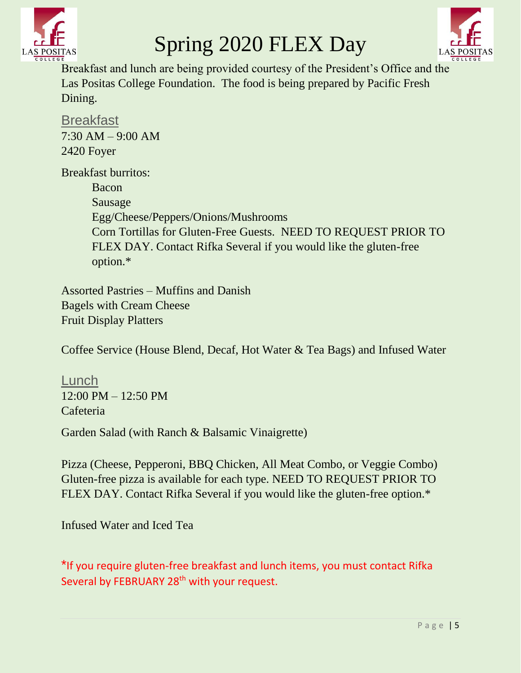



Breakfast and lunch are being provided courtesy of the President's Office and the Las Positas College Foundation. The food is being prepared by Pacific Fresh Dining.

**Breakfast** 7:30 AM – 9:00 AM 2420 Foyer

Breakfast burritos: Bacon Sausage Egg/Cheese/Peppers/Onions/Mushrooms Corn Tortillas for Gluten-Free Guests. NEED TO REQUEST PRIOR TO FLEX DAY. Contact Rifka Several if you would like the gluten-free option.\*

Assorted Pastries – Muffins and Danish Bagels with Cream Cheese Fruit Display Platters

Coffee Service (House Blend, Decaf, Hot Water & Tea Bags) and Infused Water

Lunch 12:00 PM – 12:50 PM Cafeteria

Garden Salad (with Ranch & Balsamic Vinaigrette)

Pizza (Cheese, Pepperoni, BBQ Chicken, All Meat Combo, or Veggie Combo) Gluten-free pizza is available for each type. NEED TO REQUEST PRIOR TO FLEX DAY. Contact Rifka Several if you would like the gluten-free option.\*

Infused Water and Iced Tea

\*If you require gluten-free breakfast and lunch items, you must contact Rifka Several by FEBRUARY 28<sup>th</sup> with your request.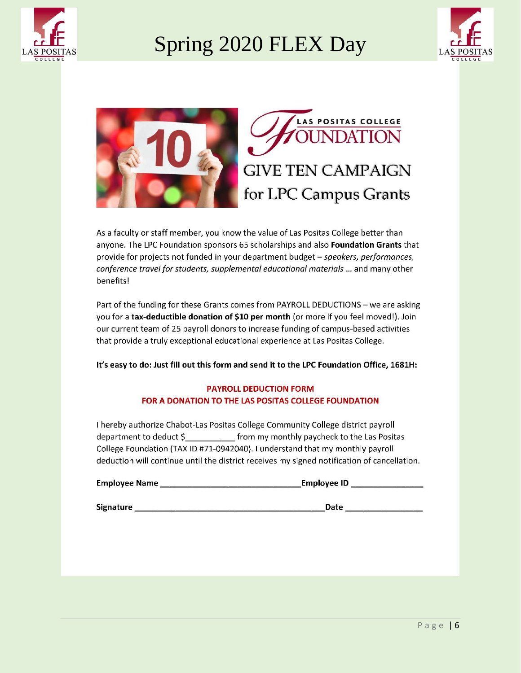





As a faculty or staff member, you know the value of Las Positas College better than anyone. The LPC Foundation sponsors 65 scholarships and also Foundation Grants that provide for projects not funded in your department budget - speakers, performances, conference travel for students, supplemental educational materials ... and many other benefits!

Part of the funding for these Grants comes from PAYROLL DEDUCTIONS - we are asking you for a tax-deductible donation of \$10 per month (or more if you feel moved!). Join our current team of 25 payroll donors to increase funding of campus-based activities that provide a truly exceptional educational experience at Las Positas College.

It's easy to do: Just fill out this form and send it to the LPC Foundation Office, 1681H:

#### **PAYROLL DEDUCTION FORM** FOR A DONATION TO THE LAS POSITAS COLLEGE FOUNDATION

I hereby authorize Chabot-Las Positas College Community College district payroll department to deduct \$ from my monthly paycheck to the Las Positas College Foundation (TAX ID #71-0942040). I understand that my monthly payroll deduction will continue until the district receives my signed notification of cancellation.

| <b>Employee Name</b> | <b>Employee ID</b> |  |  |
|----------------------|--------------------|--|--|
|                      |                    |  |  |
| $-1$                 | __                 |  |  |

**Signature** 

\_Date  $\_$ 

**INDATION**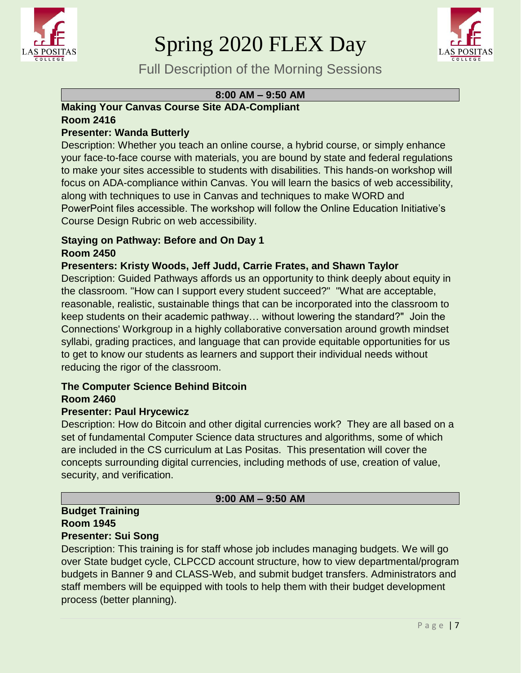



Full Description of the Morning Sessions

# **8:00 AM – 9:50 AM**

# **Making Your Canvas Course Site ADA-Compliant Room 2416**

# **Presenter: Wanda Butterly**

Description: Whether you teach an online course, a hybrid course, or simply enhance your face-to-face course with materials, you are bound by state and federal regulations to make your sites accessible to students with disabilities. This hands-on workshop will focus on ADA-compliance within Canvas. You will learn the basics of web accessibility, along with techniques to use in Canvas and techniques to make WORD and PowerPoint files accessible. The workshop will follow the Online Education Initiative's Course Design Rubric on web accessibility.

#### **Staying on Pathway: Before and On Day 1 Room 2450**

# **Presenters: Kristy Woods, Jeff Judd, Carrie Frates, and Shawn Taylor**

Description: Guided Pathways affords us an opportunity to think deeply about equity in the classroom. "How can I support every student succeed?" "What are acceptable, reasonable, realistic, sustainable things that can be incorporated into the classroom to keep students on their academic pathway… without lowering the standard?" Join the Connections' Workgroup in a highly collaborative conversation around growth mindset syllabi, grading practices, and language that can provide equitable opportunities for us to get to know our students as learners and support their individual needs without reducing the rigor of the classroom.

#### **The Computer Science Behind Bitcoin Room 2460**

#### **Presenter: Paul Hrycewicz**

Description: How do Bitcoin and other digital currencies work? They are all based on a set of fundamental Computer Science data structures and algorithms, some of which are included in the CS curriculum at Las Positas. This presentation will cover the concepts surrounding digital currencies, including methods of use, creation of value, security, and verification.

#### **9:00 AM – 9:50 AM**

#### **Budget Training Room 1945 Presenter: Sui Song**

Description: This training is for staff whose job includes managing budgets. We will go

over State budget cycle, CLPCCD account structure, how to view departmental/program budgets in Banner 9 and CLASS-Web, and submit budget transfers. Administrators and staff members will be equipped with tools to help them with their budget development process (better planning).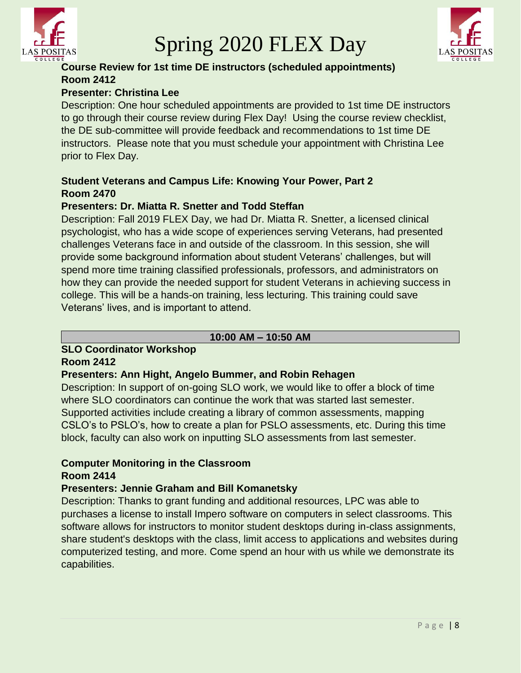



# **Course Review for 1st time DE instructors (scheduled appointments) Room 2412**

# **Presenter: Christina Lee**

Description: One hour scheduled appointments are provided to 1st time DE instructors to go through their course review during Flex Day! Using the course review checklist, the DE sub-committee will provide feedback and recommendations to 1st time DE instructors. Please note that you must schedule your appointment with Christina Lee prior to Flex Day.

# **Student Veterans and Campus Life: Knowing Your Power, Part 2 Room 2470**

# **Presenters: Dr. Miatta R. Snetter and Todd Steffan**

Description: Fall 2019 FLEX Day, we had Dr. Miatta R. Snetter, a licensed clinical psychologist, who has a wide scope of experiences serving Veterans, had presented challenges Veterans face in and outside of the classroom. In this session, she will provide some background information about student Veterans' challenges, but will spend more time training classified professionals, professors, and administrators on how they can provide the needed support for student Veterans in achieving success in college. This will be a hands-on training, less lecturing. This training could save Veterans' lives, and is important to attend.

# **10:00 AM – 10:50 AM**

# **SLO Coordinator Workshop**

#### **Room 2412**

# **Presenters: Ann Hight, Angelo Bummer, and Robin Rehagen**

Description: In support of on-going SLO work, we would like to offer a block of time where SLO coordinators can continue the work that was started last semester. Supported activities include creating a library of common assessments, mapping CSLO's to PSLO's, how to create a plan for PSLO assessments, etc. During this time block, faculty can also work on inputting SLO assessments from last semester.

# **Computer Monitoring in the Classroom**

# **Room 2414**

# **Presenters: Jennie Graham and Bill Komanetsky**

Description: Thanks to grant funding and additional resources, LPC was able to purchases a license to install Impero software on computers in select classrooms. This software allows for instructors to monitor student desktops during in-class assignments, share student's desktops with the class, limit access to applications and websites during computerized testing, and more. Come spend an hour with us while we demonstrate its capabilities.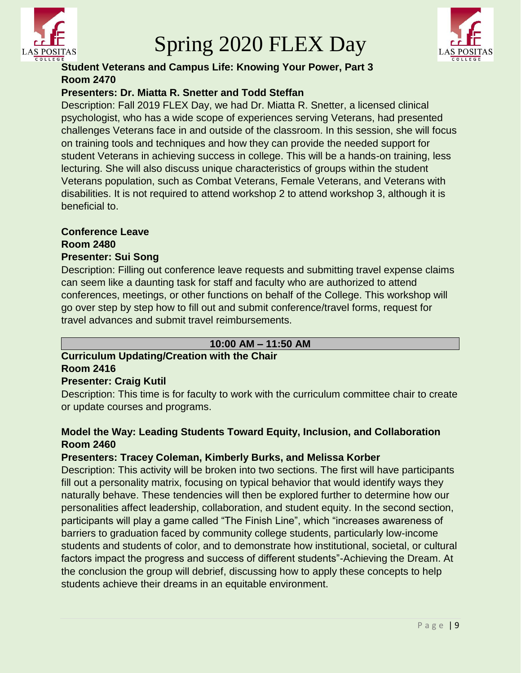



# **Student Veterans and Campus Life: Knowing Your Power, Part 3 Room 2470**

# **Presenters: Dr. Miatta R. Snetter and Todd Steffan**

Description: Fall 2019 FLEX Day, we had Dr. Miatta R. Snetter, a licensed clinical psychologist, who has a wide scope of experiences serving Veterans, had presented challenges Veterans face in and outside of the classroom. In this session, she will focus on training tools and techniques and how they can provide the needed support for student Veterans in achieving success in college. This will be a hands-on training, less lecturing. She will also discuss unique characteristics of groups within the student Veterans population, such as Combat Veterans, Female Veterans, and Veterans with disabilities. It is not required to attend workshop 2 to attend workshop 3, although it is beneficial to.

# **Conference Leave**

**Room 2480**

# **Presenter: Sui Song**

Description: Filling out conference leave requests and submitting travel expense claims can seem like a daunting task for staff and faculty who are authorized to attend conferences, meetings, or other functions on behalf of the College. This workshop will go over step by step how to fill out and submit conference/travel forms, request for travel advances and submit travel reimbursements.

#### **10:00 AM – 11:50 AM**

# **Curriculum Updating/Creation with the Chair Room 2416**

#### **Presenter: Craig Kutil**

Description: This time is for faculty to work with the curriculum committee chair to create or update courses and programs.

# **Model the Way: Leading Students Toward Equity, Inclusion, and Collaboration Room 2460**

# **Presenters: Tracey Coleman, Kimberly Burks, and Melissa Korber**

Description: This activity will be broken into two sections. The first will have participants fill out a personality matrix, focusing on typical behavior that would identify ways they naturally behave. These tendencies will then be explored further to determine how our personalities affect leadership, collaboration, and student equity. In the second section, participants will play a game called "The Finish Line", which "increases awareness of barriers to graduation faced by community college students, particularly low-income students and students of color, and to demonstrate how institutional, societal, or cultural factors impact the progress and success of different students"-Achieving the Dream. At the conclusion the group will debrief, discussing how to apply these concepts to help students achieve their dreams in an equitable environment.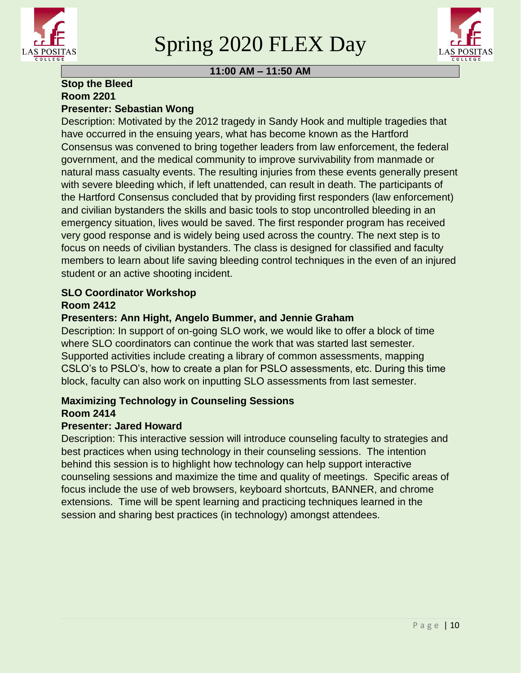



# **11:00 AM – 11:50 AM**

#### **Stop the Bleed Room 2201 Presenter: Sebastian Wong**

Description: Motivated by the 2012 tragedy in Sandy Hook and multiple tragedies that have occurred in the ensuing years, what has become known as the Hartford Consensus was convened to bring together leaders from law enforcement, the federal government, and the medical community to improve survivability from manmade or natural mass casualty events. The resulting injuries from these events generally present with severe bleeding which, if left unattended, can result in death. The participants of the Hartford Consensus concluded that by providing first responders (law enforcement) and civilian bystanders the skills and basic tools to stop uncontrolled bleeding in an emergency situation, lives would be saved. The first responder program has received very good response and is widely being used across the country. The next step is to focus on needs of civilian bystanders. The class is designed for classified and faculty members to learn about life saving bleeding control techniques in the even of an injured student or an active shooting incident.

# **SLO Coordinator Workshop Room 2412**

# **Presenters: Ann Hight, Angelo Bummer, and Jennie Graham**

Description: In support of on-going SLO work, we would like to offer a block of time where SLO coordinators can continue the work that was started last semester. Supported activities include creating a library of common assessments, mapping CSLO's to PSLO's, how to create a plan for PSLO assessments, etc. During this time block, faculty can also work on inputting SLO assessments from last semester.

# **Maximizing Technology in Counseling Sessions Room 2414**

# **Presenter: Jared Howard**

Description: This interactive session will introduce counseling faculty to strategies and best practices when using technology in their counseling sessions. The intention behind this session is to highlight how technology can help support interactive counseling sessions and maximize the time and quality of meetings. Specific areas of focus include the use of web browsers, keyboard shortcuts, BANNER, and chrome extensions. Time will be spent learning and practicing techniques learned in the session and sharing best practices (in technology) amongst attendees.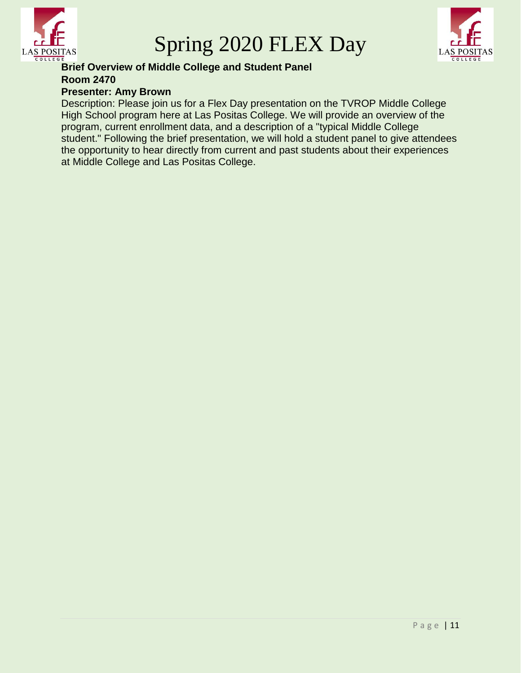

Spring 2020 FLEX Day



#### **Brief Overview of Middle College and Student Panel Room 2470 Presenter: Amy Brown**

Description: Please join us for a Flex Day presentation on the TVROP Middle College High School program here at Las Positas College. We will provide an overview of the program, current enrollment data, and a description of a "typical Middle College student." Following the brief presentation, we will hold a student panel to give attendees the opportunity to hear directly from current and past students about their experiences at Middle College and Las Positas College.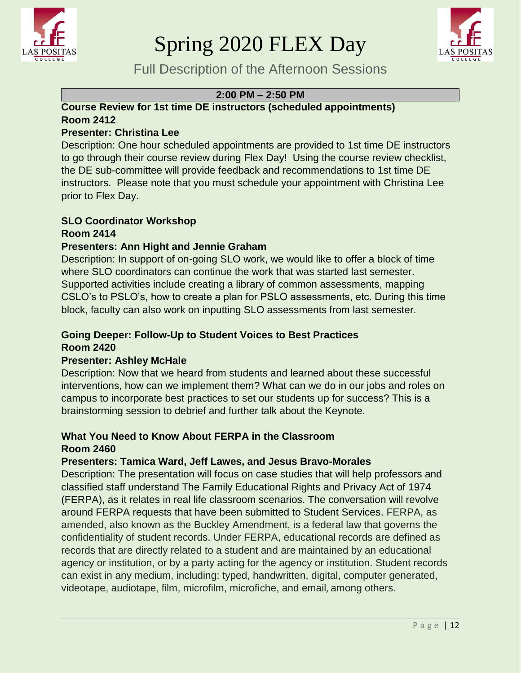



Full Description of the Afternoon Sessions

#### **2:00 PM – 2:50 PM**

# **Course Review for 1st time DE instructors (scheduled appointments) Room 2412**

# **Presenter: Christina Lee**

Description: One hour scheduled appointments are provided to 1st time DE instructors to go through their course review during Flex Day! Using the course review checklist, the DE sub-committee will provide feedback and recommendations to 1st time DE instructors. Please note that you must schedule your appointment with Christina Lee prior to Flex Day.

#### **SLO Coordinator Workshop Room 2414**

# **Presenters: Ann Hight and Jennie Graham**

Description: In support of on-going SLO work, we would like to offer a block of time where SLO coordinators can continue the work that was started last semester. Supported activities include creating a library of common assessments, mapping CSLO's to PSLO's, how to create a plan for PSLO assessments, etc. During this time block, faculty can also work on inputting SLO assessments from last semester.

# **Going Deeper: Follow-Up to Student Voices to Best Practices Room 2420**

# **Presenter: Ashley McHale**

Description: Now that we heard from students and learned about these successful interventions, how can we implement them? What can we do in our jobs and roles on campus to incorporate best practices to set our students up for success? This is a brainstorming session to debrief and further talk about the Keynote.

# **What You Need to Know About FERPA in the Classroom Room 2460**

# **Presenters: Tamica Ward, Jeff Lawes, and Jesus Bravo-Morales**

Description: The presentation will focus on case studies that will help professors and classified staff understand The Family Educational Rights and Privacy Act of 1974 (FERPA), as it relates in real life classroom scenarios. The conversation will revolve around FERPA requests that have been submitted to Student Services. FERPA, as amended, also known as the Buckley Amendment, is a federal law that governs the confidentiality of student records. Under FERPA, educational records are defined as records that are directly related to a student and are maintained by an educational agency or institution, or by a party acting for the agency or institution. Student records can exist in any medium, including: typed, handwritten, digital, computer generated, videotape, audiotape, film, microfilm, microfiche, and email, among others.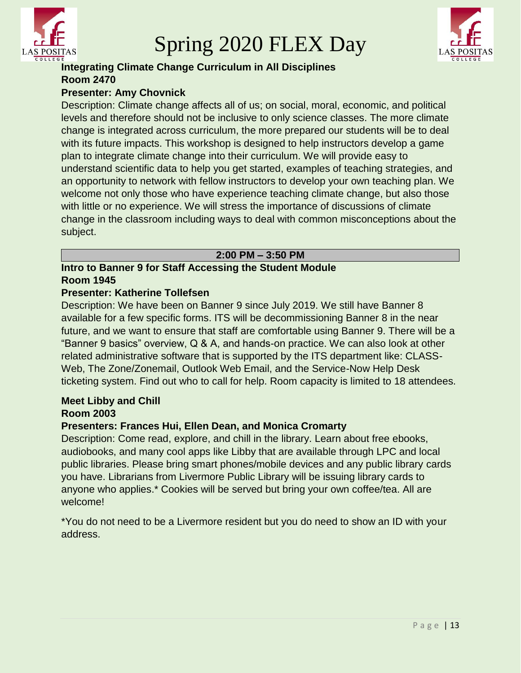



# **Integrating Climate Change Curriculum in All Disciplines Room 2470**

# **Presenter: Amy Chovnick**

Description: Climate change affects all of us; on social, moral, economic, and political levels and therefore should not be inclusive to only science classes. The more climate change is integrated across curriculum, the more prepared our students will be to deal with its future impacts. This workshop is designed to help instructors develop a game plan to integrate climate change into their curriculum. We will provide easy to understand scientific data to help you get started, examples of teaching strategies, and an opportunity to network with fellow instructors to develop your own teaching plan. We welcome not only those who have experience teaching climate change, but also those with little or no experience. We will stress the importance of discussions of climate change in the classroom including ways to deal with common misconceptions about the subject.

#### **2:00 PM – 3:50 PM**

#### **Intro to Banner 9 for Staff Accessing the Student Module Room 1945**

#### **Presenter: Katherine Tollefsen**

Description: We have been on Banner 9 since July 2019. We still have Banner 8 available for a few specific forms. ITS will be decommissioning Banner 8 in the near future, and we want to ensure that staff are comfortable using Banner 9. There will be a "Banner 9 basics" overview, Q & A, and hands-on practice. We can also look at other related administrative software that is supported by the ITS department like: CLASS-Web, The Zone/Zonemail, Outlook Web Email, and the Service-Now Help Desk ticketing system. Find out who to call for help. Room capacity is limited to 18 attendees.

#### **Meet Libby and Chill Room 2003**

# **Presenters: Frances Hui, Ellen Dean, and Monica Cromarty**

Description: Come read, explore, and chill in the library. Learn about free ebooks, audiobooks, and many cool apps like Libby that are available through LPC and local public libraries. Please bring smart phones/mobile devices and any public library cards you have. Librarians from Livermore Public Library will be issuing library cards to anyone who applies.\* Cookies will be served but bring your own coffee/tea. All are welcome!

\*You do not need to be a Livermore resident but you do need to show an ID with your address.